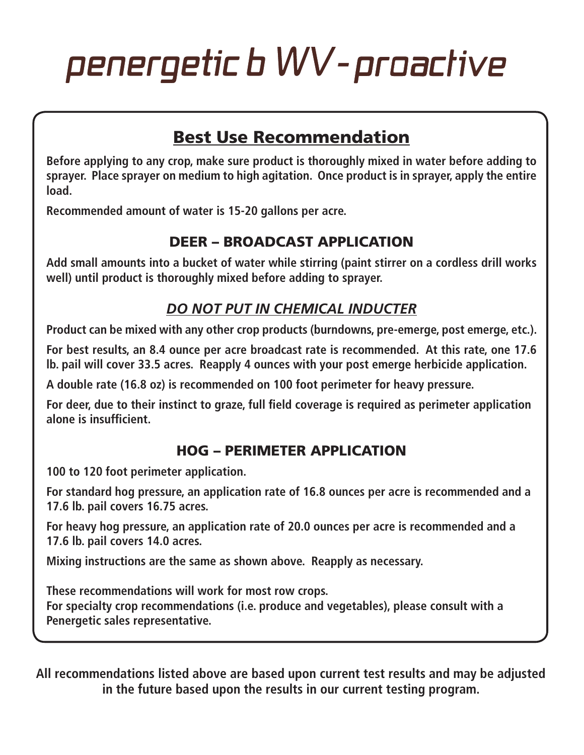# penergetic b WV-proactive

# Best Use Recommendation

**Before applying to any crop, make sure product is thoroughly mixed in water before adding to sprayer. Place sprayer on medium to high agitation. Once product is in sprayer, apply the entire load.**

**Recommended amount of water is 15-20 gallons per acre.**

#### DEER – BROADCAST APPLICATION

**Add small amounts into a bucket of water while stirring (paint stirrer on a cordless drill works well) until product is thoroughly mixed before adding to sprayer.**

#### *DO NOT PUT IN CHEMICAL INDUCTER*

**Product can be mixed with any other crop products (burndowns, pre-emerge, post emerge, etc.).**

**For best results, an 8.4 ounce per acre broadcast rate is recommended. At this rate, one 17.6 lb. pail will cover 33.5 acres. Reapply 4 ounces with your post emerge herbicide application.** 

**A double rate (16.8 oz) is recommended on 100 foot perimeter for heavy pressure.**

**For deer, due to their instinct to graze, full field coverage is required as perimeter application alone is insufficient.**

#### HOG – PERIMETER APPLICATION

**100 to 120 foot perimeter application.**

**For standard hog pressure, an application rate of 16.8 ounces per acre is recommended and a 17.6 lb. pail covers 16.75 acres.**

**For heavy hog pressure, an application rate of 20.0 ounces per acre is recommended and a 17.6 lb. pail covers 14.0 acres.**

**Mixing instructions are the same as shown above. Reapply as necessary.**

**These recommendations will work for most row crops. For specialty crop recommendations (i.e. produce and vegetables), please consult with a Penergetic sales representative.**

**All recommendations listed above are based upon current test results and may be adjusted in the future based upon the results in our current testing program.**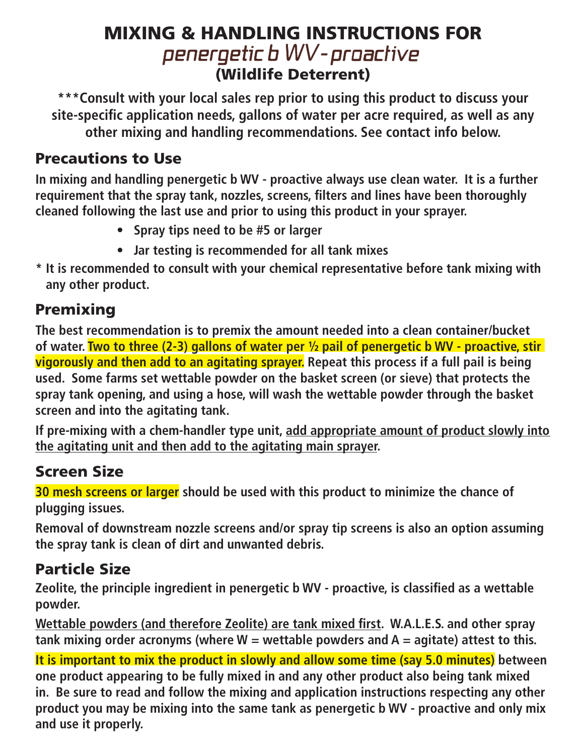# MIXING & HANDLING INSTRUCTIONS FOR<br>penergetic b WV-proactive (Wildlife Deterrent)

**\*\*\*Consult with your local sales rep prior to using this product to discuss your site-specific application needs, gallons of water per acre required, as well as any other mixing and handling recommendations. See contact info below.**

#### Precautions to Use

**In mixing and handling penergetic b WV - proactive always use clean water. It is a further requirement that the spray tank, nozzles, screens, filters and lines have been thoroughly cleaned following the last use and prior to using this product in your sprayer.**

- **• Spray tips need to be #5 or larger**
- **• Jar testing is recommended for all tank mixes**
- **\* It is recommended to consult with your chemical representative before tank mixing with any other product.**

# Premixing

**The best recommendation is to premix the amount needed into a clean container/bucket of water. Two to three (2-3) gallons of water per ½ pail of penergetic b WV - proactive, stir vigorously and then add to an agitating sprayer. Repeat this process if a full pail is being used. Some farms set wettable powder on the basket screen (or sieve) that protects the spray tank opening, and using a hose, will wash the wettable powder through the basket screen and into the agitating tank.**

**If pre-mixing with a chem-handler type unit, add appropriate amount of product slowly into the agitating unit and then add to the agitating main sprayer.**

### Screen Size

**30 mesh screens or larger should be used with this product to minimize the chance of plugging issues.**

**Removal of downstream nozzle screens and/or spray tip screens is also an option assuming the spray tank is clean of dirt and unwanted debris.**

# Particle Size

**Zeolite, the principle ingredient in penergetic b WV - proactive, is classified as a wettable powder.**

**Wettable powders (and therefore Zeolite) are tank mixed first. W.A.L.E.S. and other spray tank mixing order acronyms (where W = wettable powders and A = agitate) attest to this.**

**It is important to mix the product in slowly and allow some time (say 5.0 minutes) between one product appearing to be fully mixed in and any other product also being tank mixed in. Be sure to read and follow the mixing and application instructions respecting any other product you may be mixing into the same tank as penergetic b WV - proactive and only mix and use it properly.**